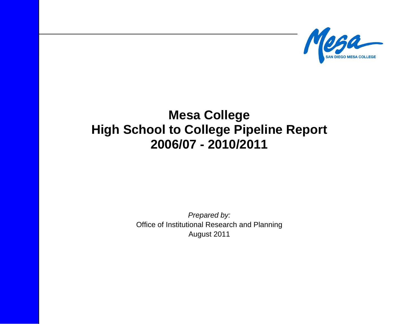

# **Mesa College High School to College Pipeline Report 2006/07 - 2010/2011**

*Prepared by:*  Office of Institutional Research and Planning August 2011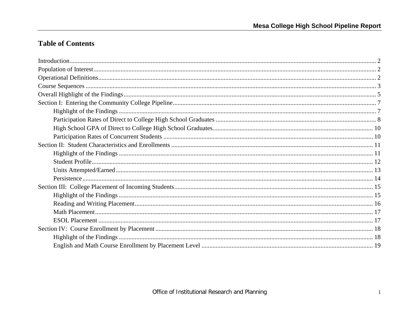# **Table of Contents**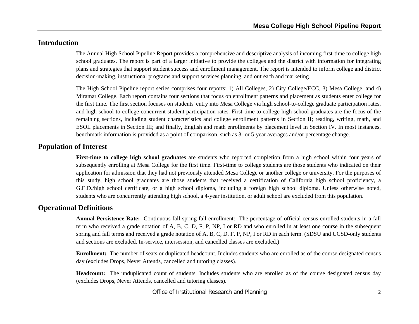# **Introduction**

The Annual High School Pipeline Report provides a comprehensive and descriptive analysis of incoming first-time to college high school graduates. The report is part of a larger initiative to provide the colleges and the district with information for integrating plans and strategies that support student success and enrollment management. The report is intended to inform college and district decision-making, instructional programs and support services planning, and outreach and marketing.

The High School Pipeline report series comprises four reports: 1) All Colleges, 2) City College/ECC, 3) Mesa College, and 4) Miramar College. Each report contains four sections that focus on enrollment patterns and placement as students enter college for the first time. The first section focuses on students' entry into Mesa College via high school-to-college graduate participation rates, and high school-to-college concurrent student participation rates. First-time to college high school graduates are the focus of the remaining sections, including student characteristics and college enrollment patterns in Section II; reading, writing, math, and ESOL placements in Section III; and finally, English and math enrollments by placement level in Section IV. In most instances, benchmark information is provided as a point of comparison, such as 3- or 5-year averages and/or percentage change.

#### **Population of Interest**

**First-time to college high school graduates** are students who reported completion from a high school within four years of subsequently enrolling at Mesa College for the first time. First-time to college students are those students who indicated on their application for admission that they had not previously attended Mesa College or another college or university. For the purposes of this study, high school graduates are those students that received a certification of California high school proficiency, a G.E.D./high school certificate, or a high school diploma, including a foreign high school diploma. Unless otherwise noted, students who are concurrently attending high school, a 4-year institution, or adult school are excluded from this population.

### **Operational Definitions**

**Annual Persistence Rate:** Continuous fall-spring-fall enrollment: The percentage of official census enrolled students in a fall term who received a grade notation of A, B, C, D, F, P, NP, I or RD and who enrolled in at least one course in the subsequent spring and fall terms and received a grade notation of A, B, C, D, F, P, NP, I or RD in each term. (SDSU and UCSD-only students and sections are excluded. In-service, intersession, and cancelled classes are excluded.)

**Enrollment:** The number of seats or duplicated headcount. Includes students who are enrolled as of the course designated census day (excludes Drops, Never Attends, cancelled and tutoring classes).

**Headcount:** The unduplicated count of students. Includes students who are enrolled as of the course designated census day (excludes Drops, Never Attends, cancelled and tutoring classes).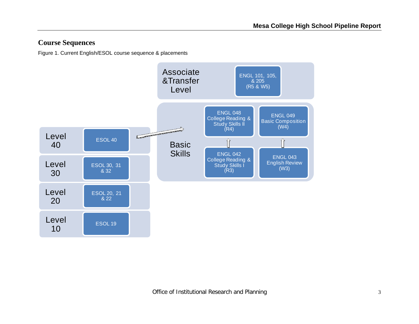# **Course Sequences**

Figure 1. Current English/ESOL course sequence & placements

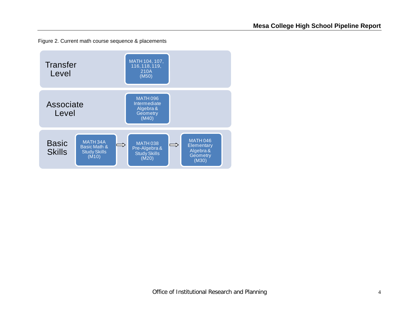Figure 2. Current math course sequence & placements

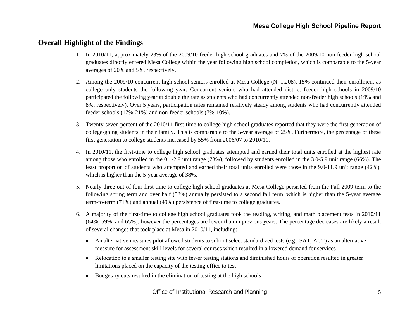# **Overall Highlight of the Findings**

- 1. In 2010/11, approximately 23% of the 2009/10 feeder high school graduates and 7% of the 2009/10 non-feeder high school graduates directly entered Mesa College within the year following high school completion, which is comparable to the 5-year averages of 20% and 5%, respectively.
- 2. Among the 2009/10 concurrent high school seniors enrolled at Mesa College (N=1,208), 15% continued their enrollment as college only students the following year. Concurrent seniors who had attended district feeder high schools in 2009/10 participated the following year at double the rate as students who had concurrently attended non-feeder high schools (19% and 8%, respectively). Over 5 years, participation rates remained relatively steady among students who had concurrently attended feeder schools (17%-21%) and non-feeder schools (7%-10%).
- 3. Twenty-seven percent of the 2010/11 first-time to college high school graduates reported that they were the first generation of college-going students in their family. This is comparable to the 5-year average of 25%. Furthermore, the percentage of these first generation to college students increased by 55% from 2006/07 to 2010/11.
- 4. In 2010/11, the first-time to college high school graduates attempted and earned their total units enrolled at the highest rate among those who enrolled in the 0.1-2.9 unit range (73%), followed by students enrolled in the 3.0-5.9 unit range (66%). The least proportion of students who attempted and earned their total units enrolled were those in the 9.0-11.9 unit range (42%), which is higher than the 5-year average of 38%.
- 5. Nearly three out of four first-time to college high school graduates at Mesa College persisted from the Fall 2009 term to the following spring term and over half (53%) annually persisted to a second fall term, which is higher than the 5-year average term-to-term (71%) and annual (49%) persistence of first-time to college graduates.
- 6. A majority of the first-time to college high school graduates took the reading, writing, and math placement tests in 2010/11 (64%, 59%, and 65%); however the percentages are lower than in previous years. The percentage decreases are likely a result of several changes that took place at Mesa in 2010/11, including:
	- An alternative measures pilot allowed students to submit select standardized tests (e.g., SAT, ACT) as an alternative measure for assessment skill levels for several courses which resulted in a lowered demand for services
	- Relocation to a smaller testing site with fewer testing stations and diminished hours of operation resulted in greater limitations placed on the capacity of the testing office to test
	- $\bullet$ Budgetary cuts resulted in the elimination of testing at the high schools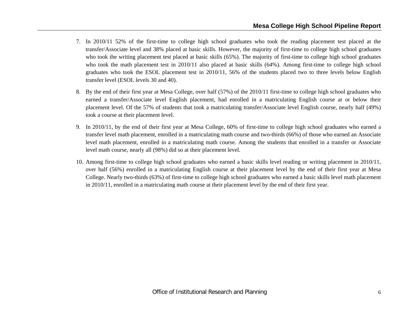- 7. In 2010/11 52% of the first-time to college high school graduates who took the reading placement test placed at the transfer/Associate level and 38% placed at basic skills. However, the majority of first-time to college high school graduates who took the writing placement test placed at basic skills (65%). The majority of first-time to college high school graduates who took the math placement test in 2010/11 also placed at basic skills (64%). Among first-time to college high school graduates who took the ESOL placement test in 2010/11, 56% of the students placed two to three levels below English transfer level (ESOL levels 30 and 40).
- 8. By the end of their first year at Mesa College, over half (57%) of the 2010/11 first-time to college high school graduates who earned a transfer/Associate level English placement, had enrolled in a matriculating English course at or below their placement level. Of the 57% of students that took a matriculating transfer/Associate level English course, nearly half (49%) took a course at their placement level.
- 9. In 2010/11, by the end of their first year at Mesa College, 60% of first-time to college high school graduates who earned a transfer level math placement, enrolled in a matriculating math course and two-thirds (66%) of those who earned an Associate level math placement, enrolled in a matriculating math course. Among the students that enrolled in a transfer or Associate level math course, nearly all (98%) did so at their placement level.
- 10. Among first-time to college high school graduates who earned a basic skills level reading or writing placement in 2010/11, over half (56%) enrolled in a matriculating English course at their placement level by the end of their first year at Mesa College. Nearly two-thirds (63%) of first-time to college high school graduates who earned a basic skills level math placement in 2010/11, enrolled in a matriculating math course at their placement level by the end of their first year.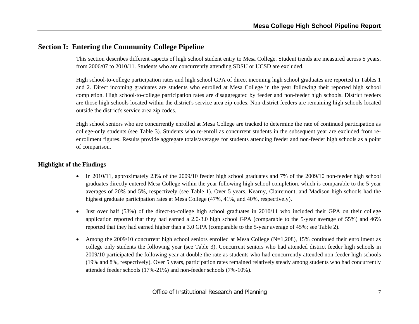# **Section I: Entering the Community College Pipeline**

This section describes different aspects of high school student entry to Mesa College. Student trends are measured across 5 years, from 2006/07 to 2010/11. Students who are concurrently attending SDSU or UCSD are excluded.

High school-to-college participation rates and high school GPA of direct incoming high school graduates are reported in Tables 1 and 2. Direct incoming graduates are students who enrolled at Mesa College in the year following their reported high school completion. High school-to-college participation rates are disaggregated by feeder and non-feeder high schools. District feeders are those high schools located within the district's service area zip codes. Non-district feeders are remaining high schools located outside the district's service area zip codes.

High school seniors who are concurrently enrolled at Mesa College are tracked to determine the rate of continued participation as college-only students (see Table 3). Students who re-enroll as concurrent students in the subsequent year are excluded from reenrollment figures. Results provide aggregate totals/averages for students attending feeder and non-feeder high schools as a point of comparison.

#### **Highlight of the Findings**

- In 2010/11, approximately 23% of the 2009/10 feeder high school graduates and 7% of the 2009/10 non-feeder high school graduates directly entered Mesa College within the year following high school completion, which is comparable to the 5-year averages of 20% and 5%, respectively (see Table 1). Over 5 years, Kearny, Clairemont, and Madison high schools had the highest graduate participation rates at Mesa College (47%, 41%, and 40%, respectively).
- 0 Just over half (53%) of the direct-to-college high school graduates in 2010/11 who included their GPA on their college application reported that they had earned a 2.0-3.0 high school GPA (comparable to the 5-year average of 55%) and 46% reported that they had earned higher than a 3.0 GPA (comparable to the 5-year average of 45%; see Table 2).
- 0 Among the 2009/10 concurrent high school seniors enrolled at Mesa College (N=1,208), 15% continued their enrollment as college only students the following year (see Table 3). Concurrent seniors who had attended district feeder high schools in 2009/10 participated the following year at double the rate as students who had concurrently attended non-feeder high schools (19% and 8%, respectively). Over 5 years, participation rates remained relatively steady among students who had concurrently attended feeder schools (17%-21%) and non-feeder schools (7%-10%).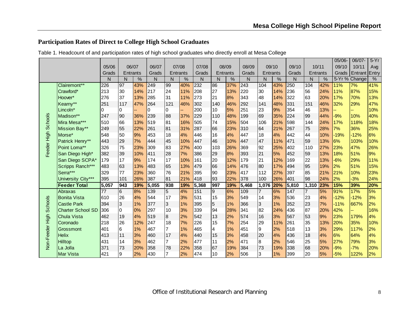## **Participation Rates of Direct to College High School Graduates**

|                 |                          |       |                |          |       |                |          |       |     |          |       |                |       |       |                |     | 05/06- | 06/07-        | $5-Yr$ |
|-----------------|--------------------------|-------|----------------|----------|-------|----------------|----------|-------|-----|----------|-------|----------------|-------|-------|----------------|-----|--------|---------------|--------|
|                 |                          | 05/06 |                | 06/07    | 06/07 |                | 07/08    | 07/08 |     | 08/09    | 08/09 |                | 09/10 | 09/10 | 10/11          |     | 09/10  | 10/11         | Avg    |
|                 |                          | Grads |                | Entrants | Grads |                | Entrants | Grads |     | Entrants | Grads | Entrants       |       | Grads | Entrants       |     | Grads  | Entrant       | Entry  |
|                 |                          | N     | N              | $\%$     | N     | $\mathsf{N}$   | %        | N     | N   | %        | N     | N              | %     | N     | N              | %   |        | 5-Yr % Change | %      |
|                 | Clairemont**             | 226   | 97             | 43%      | 249   | 99             | 40%      | 232   | 86  | 37%      | 243   | 104            | 43%   | 250   | 104            | 42% | 11%    | 7%            | 41%    |
|                 | Crawford*                | 213   | 30             | 14%      | 217   | 24             | 11%      | 208   | 27  | 13%      | 220   | 30             | 14%   | 236   | 56             | 24% | 11%    | 87%           | 15%    |
|                 | Hoover*                  | 276   | 37             | 13%      | 285   | 31             | 11%      | 273   | 21  | 8%       | 343   | 48             | 14%   | 322   | 63             | 20% | 17%    | 70%           | 13%    |
|                 | Kearny**                 | 251   | 117            | 47%      | 264   | 121            | 46%      | 302   | 140 | 46%      | 292   | 141            | 48%   | 331   | 151            | 46% | 32%    | 29%           | 47%    |
|                 | Lincoln*                 | 0     | 0              |          | 0     | 0              |          | 200   | 10  | 5%       | 251   | 23             | 9%    | 354   | 46             | 13% |        |               | 10%    |
|                 | Madison**                | 247   | 90             | 36%      | 239   | 88             | 37%      | 229   | 110 | 48%      | 199   | 69             | 35%   | 224   | 99             | 44% | $-9%$  | 10%           | 40%    |
| <b>Schools</b>  | Mira Mesa***             | 510   | 66             | 13%      | 519   | 81             | 16%      | 505   | 74  | 15%      | 504   | 106            | 21%   | 598   | 144            | 24% | 17%    | 118%          | 18%    |
|                 | Mission Bay**            | 249   | 55             | 22%      | 261   | 81             | 31%      | 287   | 66  | 23%      | 310   | 64             | 21%   | 267   | 75             | 28% | 7%     | 36%           | 25%    |
|                 | Morse*                   | 548   | 50             | 9%       | 453   | 18             | 4%       | 446   | 16  | 4%       | 447   | 18             | 4%    | 442   | 44             | 10% | $-19%$ | $-12%$        | 6%     |
|                 | Patrick Henry**          | 443   | 29             | 7%       | 444   | 45             | 10%      | 447   | 46  | 10%      | 447   | 47             | 11%   | 471   | 59             | 13% | 6%     | 103%          | 10%    |
| Feeder High     | Point Loma**             | 326   | 75             | 23%      | 309   | 83             | 27%      | 400   | 103 | 26%      | 369   | 92             | 25%   | 402   | 110            | 27% | 23%    | 47%           | 26%    |
|                 | San Diego High*          | 382   | 39             | 10%      | 411   | 28             | 7%       | 386   | 29  | 8%       | 393   | 21             | 5%    | 452   | 59             | 13% | 18%    | 51%           | 9%     |
|                 | San Diego SCPA*          | 179   | 17             | 9%       | 174   | 17             | 10%      | 161   | 20  | 12%      | 179   | 21             | 12%   | 169   | 22             | 13% | $-6%$  | 29%           | 11%    |
|                 | Scripps Ranch***         | 483   | 63             | 13%      | 483   | 65             | 13%      | 479   | 66  | 14%      | 476   | 80             | 17%   | 494   | 95             | 19% | 2%     | 51%           | 15%    |
|                 | Serra***                 | 329   | 77             | 23%      | 360   | 76             | 21%      | 395   | 90  | 23%      | 417   | 112            | 27%   | 397   | 85             | 21% | 21%    | 10%           | 23%    |
|                 | University City***       | 395   | 101            | 26%      | 387   | 81             | 21%      | 418   | 93  | 22%      | 378   | 100            | 26%   | 401   | 98             | 24% | 2%     | $-3%$         | 24%    |
|                 | <b>Feeder Total</b>      | 5,057 | 943            | 19%      | 5,055 | 938            | 19%      | 5,368 | 997 | 19%      | 5,468 | 1,076          | 20%   | 5,810 | 1,310          | 23% | 15%    | 39%           | 20%    |
|                 | Abraxas                  | 77    | $\overline{6}$ | 8%       | 139   | $\overline{5}$ | 4%       | 151   | 9   | 6%       | 109   | 17             | 6%    | 147   | $\overline{7}$ | 5%  | 91%    | 17%           | 5%     |
|                 | <b>Bonita Vista</b>      | 610   | 26             | 4%       | 544   | 17             | 3%       | 531   | 15  | 3%       | 549   | 14             | 3%    | 536   | 23             | 4%  | $-12%$ | $-12%$        | 3%     |
| <b>Schools</b>  | <b>Castle Park</b>       | 394   | $\overline{3}$ | 1%       | 377   | $\mathbf{3}$   | 1%       | 395   | 5   | 1%       | 366   | $\overline{3}$ | 1%    | 352   | 23             | 7%  | $-11%$ | 667%          | 2%     |
|                 | <b>Charter School SD</b> | 306   | $\overline{0}$ | 0%       | 297   | 10             | 3%       | 339   | 94  | 28%      | 341   | 82             | 24%   | 436   | 87             | 20% | 42%    |               | 16%    |
|                 | <b>Chula Vista</b>       | 462   | 19             | 4%       | 519   | $\bf{8}$       | 2%       | 542   | 13  | 2%       | 574   | 16             | 3%    | 567   | 53             | 9%  | 23%    | 179%          | 4%     |
|                 | Coronado                 | 218   | 26             | 12%      | 247   | 18             | 7%       | 226   | 15  | 7%       | 254   | 29             | 11%   | 261   | 35             | 13% | 20%    | 35%           | 10%    |
|                 | Grossmont                | 401   | 6              | 1%       | 467   | 7              | 1%       | 465   | 4   | 1%       | 451   | 9              | 2%    | 518   | 13             | 3%  | 29%    | 117%          | 2%     |
|                 | <b>Helix</b>             | 413   | 11             | 3%       | 460   | 17             | 4%       | 440   | 15  | 3%       | 458   | 20             | 4%    | 436   | 18             | 4%  | 6%     | 64%           | 4%     |
| Non-Feeder High | Hilltop                  | 431   | 14             | 3%       | 462   | 7              | 2%       | 477   | 11  | 2%       | 471   | 8              | 2%    | 546   | 25             | 5%  | 27%    | 79%           | 3%     |
|                 | La Jolla                 | 371   | 73             | 20%      | 358   | 78             | 22%      | 358   | 67  | 19%      | 384   | 73             | 19%   | 338   | 68             | 20% | $-9%$  | $-7%$         | 20%    |
|                 | <b>Mar Vista</b>         | 421   | 9              | 2%       | 430   | $\overline{7}$ | 2%       | 474   | 10  | 2%       | 506   | 3              | 1%    | 399   | 20             | 5%  | $-5%$  | 122%          | 2%     |

Table 1. Headcount of and participation rates of high school graduates who directly enroll at Mesa College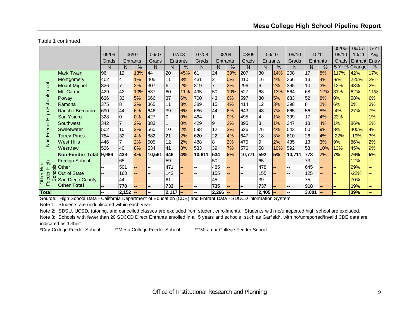Table 1 continued,

|                             |                         |       |          |       |                |              |     |                          |                |       |        |          |       |        |          |               | $05/06 -$ | 06/07         | $5-Yr$        |
|-----------------------------|-------------------------|-------|----------|-------|----------------|--------------|-----|--------------------------|----------------|-------|--------|----------|-------|--------|----------|---------------|-----------|---------------|---------------|
|                             |                         | 05/06 |          | 06/07 | 06/07          | 07/08        |     | 07/08                    |                | 08/09 | 08/09  |          | 09/10 | 09/10  |          | 10/11         | 09/10     | 10/11         | Avg           |
|                             |                         | Grads | Entrants |       | Grads          | Entrants     |     | Grads                    | Entrants       |       | Grads  | Entrants |       | Grads  | Entrants |               | Grads     | Entrant Entry |               |
|                             |                         | N     | N        | %     | N              | N            | %   | N                        | N              | %     | N      | N        | %     | N      | N        | $\frac{0}{0}$ |           | 5-Yr % Change | $\frac{9}{6}$ |
|                             | <b>Mark Twain</b>       | 96    | 12       | 13%   | 44             | 20           | 45% | 61                       | 24             | 39%   | 207    | 30       | 14%   | 208    | 17       | 8%            | 117%      | 42%           | 17%           |
|                             | Montgomery              | 402   | 4        | 1%    | 405            | 11           | 3%  | 431                      | $\overline{2}$ | 0%    | 410    | 16       | 4%    | 366    | 13       | 4%            | $-9%$     | 225%          | 2%            |
| cont.                       | <b>Mount Miguel</b>     | 326   |          | 2%    | 307            | 6            | 2%  | 319                      | $\overline{7}$ | 2%    | 296    | 6        | 2%    | 365    | 10       | 3%            | 12%       | 43%           | 2%            |
|                             | Mt. Carmel              | 429   | 42       | 10%   | 537            | 60           | 11% | 495                      | 50             | 10%   | 527    | 68       | 13%   | 564    | 68       | 12%           | 31%       | 62%           | 11%           |
|                             | Poway                   | 636   | 33       | 5%    | 666            | 37           | 6%  | 700                      | 43             | 6%    | 597    | 30       | 5%    | 633    | 52       | 8%            | 0%        | 58%           | 6%            |
|                             | Ramona                  | 375   | 8        | 2%    | 365            | 11           | 3%  | 389                      | 15             | 4%    | 414    | 12       | 3%    | 398    | l8       | 2%            | 6%        | 0%            | 3%            |
|                             | Rancho Bernardo         | 690   | 44       | 6%    | 646            | 39           | 6%  | 686                      | 44             | 6%    | 643    | 48       | 7%    | 665    | 56       | 8%            | $-4%$     | 27%           | 7%            |
| Non-Feeder High Schools     | San Ysidro              | 328   | 0        | 0%    | 427            | 0            | 0%  | 464                      |                | 0%    | 495    | 4        | 1%    | 399    | 17       | 4%            | 22%       |               | 1%            |
|                             | Southwest               | 342   |          | 2%    | 383            | $\mathbf{1}$ | 0%  | 429                      | $\overline{9}$ | 2%    | 395    | 3        | $1\%$ | 347    | 13       | 4%            | 1%        | 86%           | 2%            |
|                             | Sweetwater              | 502   | 10       | 2%    | 560            | 10           | 2%  | 598                      | 12             | 2%    | 626    | 26       | 4%    | 543    | 50       | 9%            | 8%        | 400%          | 4%            |
|                             | <b>Torrey Pines</b>     | 784   | 32       | 4%    | 882            | 21           | 2%  | 620                      | 22             | 4%    | 647    | 18       | 3%    | 610    | 26       | 4%            | $-22%$    | $-19%$        | 3%            |
|                             | <b>West Hills</b>       | 446   |          | 2%    | 505            | 12           | 2%  | 488                      | 8              | 2%    | 475    | Ι9       | 2%    | 485    | 13       | 3%            | 9%        | 86%           | 2%            |
|                             | Westview                | 526   | 40       | 8%    | 534            | 41           | 8%  | 533                      | 39             | 7%    | 576    | 58       | 10%   | 592    | 58       | 10%           | 13%       | 45%           | 9%            |
|                             | <b>Non-Feeder Total</b> | 9,986 | 439      | 4%    | 10,561         | 446          | 4%  | 10,611                   | 534            | 5%    | 10,771 | 592      | 5%    | 10,711 | 773      | 7%            | 7%        | 76%           | 5%            |
|                             | <b>Foreign School</b>   |       | 65       |       | $-$            | 59           |     |                          | 50             |       |        | 65       |       |        | 73       |               |           | 12%           |               |
| High<br>Non-<br>$rac{8}{5}$ | Other                   |       | 501      |       |                | 471          |     |                          | 485            |       |        | 478      |       |        | 645      |               |           | 29%           |               |
|                             | Out of State            |       | 160      |       | --             | 142          |     |                          | 155            |       | --     | 155      |       | --     | 125      |               |           | $-22%$        |               |
| eeder<br><b>Other</b>       | San Diego County        | --    | 44       |       | --             | 61           |     | $\overline{\phantom{a}}$ | 45             |       | --     | 39       |       | --     | 75       |               |           | 70%           |               |
| Ιī                          | <b>Other Total</b>      | --    | 770      |       | $\overline{a}$ | 733          |     | $\overline{\phantom{a}}$ | 735            |       | --     | 737      |       | --     | 918      |               |           | 19%           | --            |
| <b>Total</b>                |                         |       | 2,152    |       | --             | $2,117$ –    |     |                          | $2,266$ -      |       | Ξ.     | 2,405    |       |        | 3,001    |               |           | 39%           |               |

Source: High School Data - California Department of Education (CDE) and Entrant Data - SDCCD Information System

Note 1: Students are unduplicated within each year.

Note 2: SDSU, UCSD, tutoring, and cancelled classes are excluded from student enrollments. Students with no/unreported high school are excluded.

Note 3: Schools with fewer than 20 SDCCD Direct Entrants enrolled in all 5 years and schools, such as Garfield\*, with no/unreported/invalid CDE data are indicated as 'Other'.

\*City College Feeder School \*\*Mesa College Feeder School \*\*\*Miramar College Feeder School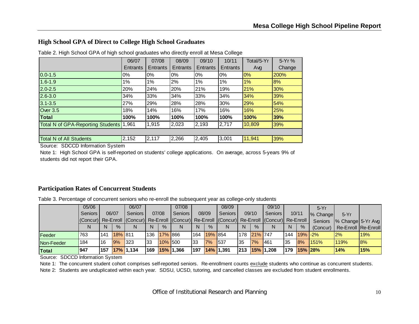#### **High School GPA of Direct to College High School Graduates**

|                                   | 06/07    | 07/08           | 08/09    | 09/10           | 10/11    | Total/5-Yr | 5-Yr%  |
|-----------------------------------|----------|-----------------|----------|-----------------|----------|------------|--------|
|                                   | Entrants | <b>Entrants</b> | Entrants | <b>Entrants</b> | Entrants | Avg        | Change |
| $0.0 - 1.5$                       | $0\%$    | $0\%$           | 0%       | $0\%$           | 0%       | $0\%$      | 200%   |
| $1.6 - 1.9$                       | $1\%$    | 1%              | 2%       | 1%              | 1%       | 1%         | 8%     |
| $2.0 - 2.5$                       | 20%      | 24%             | 20%      | 21%             | 19%      | 21%        | 30%    |
| $2.6 - 3.0$                       | 34%      | 33%             | 34%      | 33%             | 34%      | 34%        | 39%    |
| $3.1 - 3.5$                       | 27%      | 29%             | 28%      | 28%             | 30%      | 29%        | 54%    |
| <b>Over 3.5</b>                   | 18%      | 14%             | 16%      | 17%             | 16%      | 16%        | 25%    |
| <b>Total</b>                      | 100%     | 100%            | 100%     | 100%            | 100%     | 100%       | 39%    |
| Total N of GPA-Reporting Students | 1,961    | 1,915           | 2,023    | 2,193           | 2,717    | 10,809     | 39%    |
|                                   |          |                 |          |                 |          |            |        |
| <b>Total N of All Students</b>    | 2,152    | 2,117           | 2,266    | 2,405           | 3,001    | 11,941     | 39%    |

Table 2. High School GPA of high school graduates who directly enroll at Mesa College

Source: SDCCD Information System

Note 1: High School GPA is self-reported on students' college applications. On average, across 5-years 9% of students did not report their GPA.

#### **Participation Rates of Concurrent Students**

Table 3. Percentage of concurrent seniors who re-enroll the subsequent year as college-only students

|               | 05/06                                                                                                  |     |         | 06/07          |     |             | 07/08       |              |               | 08/09           |            |               | 09/10         |       |            | $5-Yr$   |                     |     |
|---------------|--------------------------------------------------------------------------------------------------------|-----|---------|----------------|-----|-------------|-------------|--------------|---------------|-----------------|------------|---------------|---------------|-------|------------|----------|---------------------|-----|
|               | <b>Seniors</b>                                                                                         |     | 06/07   | <b>Seniors</b> |     | 07/08       | Seniors     |              | 08/09         | Seniors         |            | 09/10         | Seniors I     | 10/11 |            | % Change | $5-Yr$              |     |
|               | (Concur) Re-Enroll   (Concur) Re-Enroll   (Concur) Re-Enroll   (Concur) Re-Enroll   (Concur) Re-Enroll |     |         |                |     |             |             |              |               |                 |            |               |               |       |            | Seniors  | % Change 5-Yr Avg   |     |
|               |                                                                                                        |     | $\%$    |                | N   | $\%$        |             | <sup>N</sup> | $\frac{9}{6}$ | N               | N          | $\frac{9}{6}$ | N             | N     | $\%$       | (Concur) | Re-Enroll Re-Enroll |     |
| <b>Feeder</b> | 763                                                                                                    | 141 | 18% 811 |                |     | 136 17% 866 |             |              | 164 19% 854   |                 |            | 178 21% 747   |               | 144   | $19\%$ -2% |          | $2\%$               | 19% |
| Non-Feeder    | 184                                                                                                    | 16  | 9%      | $ 323\rangle$  | 33  | 10% 500     |             | 133          | 7%            | 537             | 35         | 7%            | 461           | 135   | 8%         | 1151%    | 119%                | 8%  |
| Total         | 947                                                                                                    | 157 |         | $ 17\% 1,134$  | 169 |             | $15%$ 1,366 | 197          |               | $14\%$ $ 1,391$ | <b>213</b> |               | $15%$ $1,208$ | 179   | 15% 28%    |          | 14%                 | 15% |

Source: SDCCD Information System

Note 1: The concurrent student cohort comprises self-reported seniors. Re-enrollment counts exclude students who continue as concurrent students.

Note 2: Students are unduplicated within each year. SDSU, UCSD, tutoring, and cancelled classes are excluded from student enrollments.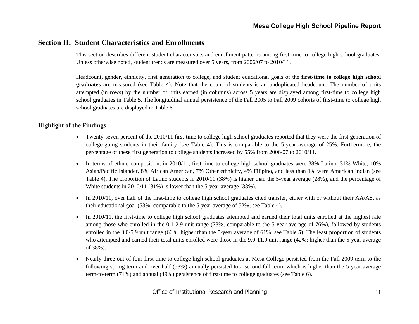# **Section II: Student Characteristics and Enrollments**

This section describes different student characteristics and enrollment patterns among first-time to college high school graduates. Unless otherwise noted, student trends are measured over 5 years, from 2006/07 to 2010/11.

Headcount, gender, ethnicity, first generation to college, and student educational goals of the **first-time to college high school graduates** are measured (see Table 4). Note that the count of students is an unduplicated headcount. The number of units attempted (in rows) by the number of units earned (in columns) across 5 years are displayed among first-time to college high school graduates in Table 5. The longitudinal annual persistence of the Fall 2005 to Fall 2009 cohorts of first-time to college high school graduates are displayed in Table 6.

#### **Highlight of the Findings**

- Twenty-seven percent of the 2010/11 first-time to college high school graduates reported that they were the first generation of college-going students in their family (see Table 4). This is comparable to the 5-year average of 25%. Furthermore, the percentage of these first generation to college students increased by 55% from 2006/07 to 2010/11.
- In terms of ethnic composition, in 2010/11, first-time to college high school graduates were 38% Latino, 31% White, 10% Asian/Pacific Islander, 8% African American, 7% Other ethnicity, 4% Filipino, and less than 1% were American Indian (see Table 4). The proportion of Latino students in 2010/11 (38%) is higher than the 5-year average (28%), and the percentage of White students in 2010/11 (31%) is lower than the 5-year average (38%).
- In 2010/11, over half of the first-time to college high school graduates cited transfer, either with or without their AA/AS, as their educational goal (53%; comparable to the 5-year average of 52%; see Table 4).
- e In 2010/11, the first-time to college high school graduates attempted and earned their total units enrolled at the highest rate among those who enrolled in the 0.1-2.9 unit range (73%; comparable to the 5-year average of 76%), followed by students enrolled in the 3.0-5.9 unit range (66%; higher than the 5-year average of 61%; see Table 5). The least proportion of students who attempted and earned their total units enrolled were those in the 9.0-11.9 unit range (42%; higher than the 5-year average of 38%).
- 0 Nearly three out of four first-time to college high school graduates at Mesa College persisted from the Fall 2009 term to the following spring term and over half (53%) annually persisted to a second fall term, which is higher than the 5-year average term-to-term (71%) and annual (49%) persistence of first-time to college graduates (see Table 6).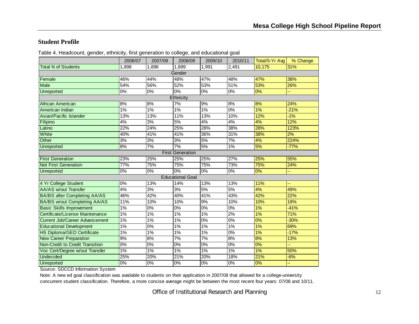#### **Student Profile**

|                                       | 2006/07 | 2007/08          | 2008/09                 | 2009/10          | 2010/11              | Total/5-Yr Avg | % Change |
|---------------------------------------|---------|------------------|-------------------------|------------------|----------------------|----------------|----------|
| <b>Total N of Students</b>            | 1,898   | 1,896            | 1,899                   | 1,991            | $\overline{2}$ , 491 | 10,175         | 31%      |
|                                       |         |                  | Gender                  |                  |                      |                |          |
| Female                                | 46%     | 44%              | 48%                     | 47%              | 48%                  | 47%            | 38%      |
| Male                                  | 54%     | 56%              | 52%                     | 53%              | 51%                  | 53%            | 26%      |
| <b>Unreported</b>                     | 0%      | 0%               | 0%                      | 0%               | 0%                   | 0%             |          |
|                                       |         |                  | Ethnicity               |                  |                      |                |          |
| <b>African American</b>               | 8%      | $\frac{8}{6}$    | 7%                      | 9%               | 8%                   | 8%             | 24%      |
| American Indian                       | 1%      | 1%               | 1%                      | 1%               | 0%                   | 1%             | $-21%$   |
| Asian/Pacific Islander                | 13%     | 13%              | 11%                     | 13%              | 10%                  | 12%            | $-1%$    |
| Filipino                              | 4%      | 3%               | 5%                      | 4%               | 4%                   | 4%             | 12%      |
| Latino                                | 22%     | 24%              | 25%                     | 28%              | 38%                  | 28%            | 123%     |
| White                                 | 40%     | 41%              | 41%                     | 36%              | 31%                  | 38%            | 2%       |
| Other                                 | 3%      | $\overline{3\%}$ | $\overline{3\%}$        | 5%               | 7%                   | 4%             | 224%     |
| <b>Unreported</b>                     | 8%      | 7%               | 7%                      | 5%               | 1%                   | 5%             | $-77%$   |
|                                       |         |                  | <b>First Generation</b> |                  |                      |                |          |
| <b>First Generation</b>               | 23%     | 25%              | 25%                     | 25%              | 27%                  | 25%            | 55%      |
| <b>Not First Generation</b>           | 77%     | 75%              | 75%                     | 75%              | 73%                  | 75%            | 24%      |
| Unreported                            | $0\%$   | $0\%$            | $\overline{0\%}$        | $0\%$            | $0\%$                | $0\%$          |          |
|                                       |         |                  | <b>Educational Goal</b> |                  |                      |                |          |
| 4 Yr College Student                  | 0%      | 13%              | 14%                     | 13%              | 13%                  | 11%            |          |
| <b>AA/AS w/out Transfer</b>           | 4%      | $\overline{3\%}$ | $\overline{3\%}$        | 5%               | 5%                   | 4%             | 49%      |
| <b>BA/BS after Completing AA/AS</b>   | 46%     | 42%              | 40%                     | 41%              | 43%                  | 42%            | 22%      |
| <b>BA/BS w/out Completing AA/AS</b>   | 11%     | 10%              | 10%                     | 9%               | 10%                  | 10%            | 18%      |
| <b>Basic Skills Improvement</b>       | $1\%$   | 0%               | 0%                      | $\overline{0\%}$ | $0\%$                | 1%             | $-41%$   |
| Certificate/License Maintenance       | 1%      | 1%               | 1%                      | 1%               | 2%                   | 1%             | 71%      |
| <b>Current Job/Career Advancement</b> | $1\%$   | 1%               | 1%                      | $\overline{0\%}$ | 0%                   | 0%             | $-30%$   |
| <b>Educational Development</b>        | $1\%$   | 0%               | 1%                      | 1%               | 1%                   | 1%             | 69%      |
| <b>HS Diploma/GED Certificate</b>     | $1\%$   | $1\%$            | $1\%$                   | $1\%$            | $0\%$                | 1%             | $-17%$   |
| <b>New Career Preparation</b>         | 9%      | 8%               | 7%                      | 7%               | 8%                   | 8%             | 13%      |
| Non-Credit to Credit Transition       | 0%      | 0%               | 0%                      | 0%               | 0%                   | 0%             |          |
| Voc Cert/Degree w/out Transfer        | 1%      | 1%               | 1%                      | 1%               | 1%                   | 1%             | 50%      |
| <b>Undecided</b>                      | 25%     | 20%              | 21%                     | 20%              | 18%                  | 21%            | $-6%$    |
| Unreported                            | 0%      | 0%               | 0%                      | 0%               | 0%                   | 0%             |          |

Table 4. Headcount, gender, ethnicity, first generation to college, and educational goal

Source: SDCCD Information System

Note: A new ed goal classification was available to students on their application in 2007/08 that allowed for a college-university concurrent student classification. Therefore, a more concise average might be between the most recent four years: 07/08 and 10/11.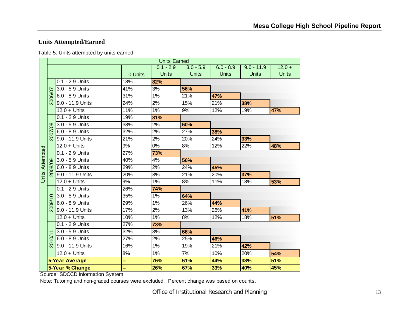# **Units Attempted/Earned**

| Table 5. Units attempted by units earned |  |
|------------------------------------------|--|
|------------------------------------------|--|

|                        |                      |                       |         | <b>Units Earned</b> |              |              |              |              |
|------------------------|----------------------|-----------------------|---------|---------------------|--------------|--------------|--------------|--------------|
|                        |                      |                       |         | $0.1 - 2.9$         | $3.0 - 5.9$  | $6.0 - 8.9$  | $9.0 - 11.9$ | $12.0 +$     |
|                        |                      |                       | 0 Units | <b>Units</b>        | <b>Units</b> | <b>Units</b> | <b>Units</b> | <b>Units</b> |
|                        |                      | 0.1 - 2.9 Units       | 18%     | 82%                 |              |              |              |              |
|                        |                      | 3.0 - 5.9 Units       | 41%     | 3%                  | 56%          |              |              |              |
|                        | 2006/07              | 6.0 - 8.9 Units       | 31%     | 1%                  | 21%          | 47%          |              |              |
|                        |                      | 9.0 - 11.9 Units      | 24%     | 2%                  | 15%          | 21%          | 38%          |              |
|                        |                      | $12.0 +$ Units        | 11%     | 1%                  | 9%           | 12%          | 19%          | 47%          |
|                        |                      | $0.1 - 2.9$ Units     | 19%     | 81%                 |              |              |              |              |
|                        |                      | $3.0 - 5.9$ Units     | 38%     | 2%                  | 60%          |              |              |              |
|                        | 2007/08              | 6.0 - 8.9 Units       | 32%     | 2%                  | 27%          | 38%          |              |              |
|                        |                      | 9.0 - 11.9 Units      | 21%     | 2%                  | 20%          | 24%          | 33%          |              |
|                        |                      | $12.0 +$ Units        | 9%      | $0\%$               | 8%           | 12%          | 22%          | 48%          |
| <b>Units Attempted</b> |                      | 0.1 - 2.9 Units       | 27%     | 73%                 |              |              |              |              |
|                        |                      | 3.0 - 5.9 Units       | 40%     | 4%                  | 56%          |              |              |              |
|                        | $\mathcal{B}$        | 6.0 - 8.9 Units       | 29%     | 2%                  | 24%          | 45%          |              |              |
|                        |                      | 9.0 - 11.9 Units      | 20%     | 3%                  | 21%          | 20%          | 37%          |              |
|                        |                      | $12.0 +$ Units        | 9%      | $1\%$               | 8%           | 11%          | 18%          | 53%          |
|                        |                      | $0.1 - 2.9$ Units     | 26%     | 74%                 |              |              |              |              |
|                        | $\frac{1}{\sqrt{2}}$ | 3.0 - 5.9 Units       | 35%     | 1%                  | 64%          |              |              |              |
|                        | 2009/                | 6.0 - 8.9 Units       | 29%     | 1%                  | 26%          | 44%          |              |              |
|                        |                      | 9.0 - 11.9 Units      | 17%     | 2%                  | 13%          | 26%          | 41%          |              |
|                        |                      | $12.0 +$ Units        | 10%     | $1\%$               | 8%           | 12%          | 18%          | 51%          |
|                        |                      | 0.1 - 2.9 Units       | 27%     | 73%                 |              |              |              |              |
|                        |                      | 3.0 - 5.9 Units       | 32%     | 3%                  | 66%          |              |              |              |
|                        | 2010/                | 6.0 - 8.9 Units       | 27%     | 2%                  | 25%          | 46%          |              |              |
|                        |                      | 9.0 - 11.9 Units      | 16%     | $1\%$               | 19%          | 21%          | 42%          |              |
|                        |                      | $12.0 +$ Units        | 8%      | 1%                  | 7%           | 10%          | 20%          | 54%          |
|                        |                      | <b>5-Year Average</b> | --      | 76%                 | 61%          | 44%          | 38%          | 51%          |
|                        |                      | 5-Year % Change       | ш,      | 26%                 | 67%          | 33%          | 40%          | 45%          |

Source: SDCCD Information System

Note: Tutoring and non-graded courses were excluded. Percent change was based on counts.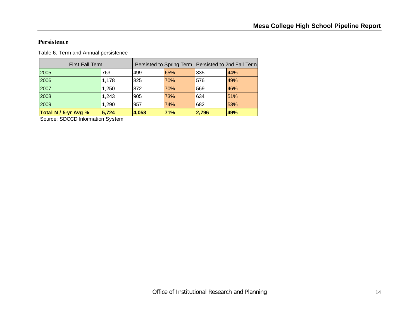#### **Persistence**

Table 6. Term and Annual persistence

| <b>First Fall Term</b> |       |       |     | Persisted to Spring Term   Persisted to 2nd Fall Term |     |  |
|------------------------|-------|-------|-----|-------------------------------------------------------|-----|--|
| 2005                   | 763   | 499   | 65% | 335                                                   | 44% |  |
| 2006                   | 1.178 | 825   | 70% | 576                                                   | 49% |  |
| 2007                   | 1,250 | 872   | 70% | 569                                                   | 46% |  |
| 2008                   | 1,243 | 905   | 73% | 634                                                   | 51% |  |
| 2009                   | 1,290 | 957   | 74% | 682                                                   | 53% |  |
| Total N / 5-yr Avg %   | 5.724 | 4,058 | 71% | 2,796                                                 | 49% |  |

Source: SDCCD Information System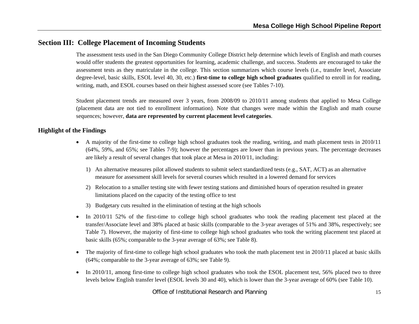# **Section III: College Placement of Incoming Students**

The assessment tests used in the San Diego Community College District help determine which levels of English and math courses would offer students the greatest opportunities for learning, academic challenge, and success. Students are encouraged to take the assessment tests as they matriculate in the college. This section summarizes which course levels (i.e., transfer level, Associate degree-level, basic skills, ESOL level 40, 30, etc.) **first-time to college high school graduates** qualified to enroll in for reading, writing, math, and ESOL courses based on their highest assessed score (see Tables 7-10).

Student placement trends are measured over 3 years, from 2008/09 to 2010/11 among students that applied to Mesa College (placement data are not tied to enrollment information). Note that changes were made within the English and math course sequences; however, **data are represented by current placement level categories**.

#### **Highlight of the Findings**

- A majority of the first-time to college high school graduates took the reading, writing, and math placement tests in 2010/11 (64%, 59%, and 65%; see Tables 7-9); however the percentages are lower than in previous years. The percentage decreases are likely a result of several changes that took place at Mesa in 2010/11, including:
	- 1) An alternative measures pilot allowed students to submit select standardized tests (e.g., SAT, ACT) as an alternative measure for assessment skill levels for several courses which resulted in a lowered demand for services
	- 2) Relocation to a smaller testing site with fewer testing stations and diminished hours of operation resulted in greater limitations placed on the capacity of the testing office to test
	- 3) Budgetary cuts resulted in the elimination of testing at the high schools
- 6 In 2010/11 52% of the first-time to college high school graduates who took the reading placement test placed at the transfer/Associate level and 38% placed at basic skills (comparable to the 3-year averages of 51% and 38%, respectively; see Table 7). However, the majority of first-time to college high school graduates who took the writing placement test placed at basic skills (65%; comparable to the 3-year average of 63%; see Table 8).
- $\bullet$  The majority of first-time to college high school graduates who took the math placement test in 2010/11 placed at basic skills (64%; comparable to the 3-year average of 63%; see Table 9).
- $\bullet$ In 2010/11, among first-time to college high school graduates who took the ESOL placement test, 56% placed two to three levels below English transfer level (ESOL levels 30 and 40), which is lower than the 3-year average of 60% (see Table 10).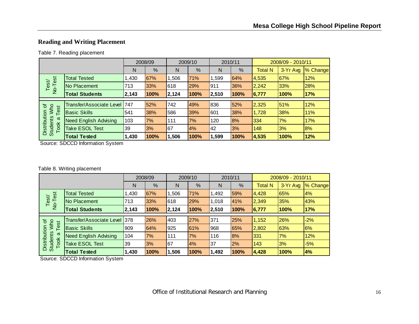# **Reading and Writing Placement**

#### Table 7. Reading placement

|                                         |                              |       | 2008/09 |       | 2009/10 |       | 2010/11 |                | 2008/09 - 2010/11 |          |
|-----------------------------------------|------------------------------|-------|---------|-------|---------|-------|---------|----------------|-------------------|----------|
|                                         |                              | N     | %       | N     | %       | N     | %       | <b>Total N</b> | 3-Yr Avg          | % Change |
|                                         | <b>Total Tested</b>          | 1,430 | 67%     | 1,506 | 71%     | .599  | 64%     | 4,535          | 67%               | 12%      |
| No-Test<br>Test/                        | No Placement                 | 713   | 33%     | 618   | 29%     | 911   | 36%     | 2,242          | 33%               | 28%      |
|                                         | <b>Total Students</b>        | 2,143 | 100%    | 2,124 | 100%    | 2,510 | 100%    | 6,777          | 100%              | 17%      |
|                                         |                              |       |         |       |         |       |         |                |                   |          |
| Who<br>৳<br>est                         | Transfer/Associate Level     | 1747  | 52%     | 742   | 49%     | 836   | 52%     | 2,325          | 51%               | 12%      |
|                                         | <b>Basic Skills</b>          | 541   | 38%     | 586   | 39%     | 601   | 38%     | 1,728          | 38%               | 11%      |
| σ                                       | <b>Need English Advising</b> | 103   | 7%      | 111   | 7%      | 120   | 8%      | 334            | 7%                | 17%      |
| Distribution<br><b>Students</b><br>Took | <b>Take ESOL Test</b>        | 39    | 3%      | 67    | 4%      | 42    | 3%      | 148            | 3%                | 8%       |
|                                         | <b>Total Tested</b>          | 1,430 | 100%    | 1,506 | 100%    | 1,599 | 100%    | 4,535          | 100%              | 12%      |

Source: SDCCD Information System

#### Table 8. Writing placement

|                                      |                                 | 2008/09 |      | 2009/10 |      |       | 2010/11 | 2008/09 - 2010/11 |          |          |
|--------------------------------------|---------------------------------|---------|------|---------|------|-------|---------|-------------------|----------|----------|
|                                      |                                 | N       | %    | N       | %    | N     | %       | <b>Total N</b>    | 3-Yr Avg | % Change |
|                                      | <b>Total Tested</b>             | 1,430   | 67%  | 1.506   | 71%  | 1,492 | 59%     | 4,428             | 65%      | 4%       |
| No-Test<br>Test/                     | No Placement                    | 713     | 33%  | 618     | 29%  | 1,018 | 41%     | 2,349             | 35%      | 43%      |
|                                      | <b>Total Students</b>           | 2,143   | 100% | 2,124   | 100% | 2,510 | 100%    | 6,777             | 100%     | 17%      |
| $\sigma$                             | <b>Transfer/Associate Level</b> | 378     | 26%  | 403     | 27%  | 371   | 25%     | 1,152             | 26%      | $-2%$    |
| <b>MW</b><br>Test                    | <b>Basic Skills</b>             | 909     | 64%  | 925     | 61%  | 968   | 65%     | 2,802             | 63%      | 6%       |
| Distribution<br><b>Students</b><br>σ | <b>Need English Advising</b>    | 104     | 7%   | 111     | 7%   | 116   | 8%      | 331               | 7%       | 12%      |
| Took                                 | Take ESOL Test                  | 39      | 3%   | 67      | 4%   | 37    | 2%      | 143               | 3%       | $-5%$    |
|                                      | <b>Total Tested</b>             | 1,430   | 100% | 1,506   | 100% | 1,492 | 100%    | 4,428             | 100%     | 4%       |

Source: SDCCD Information System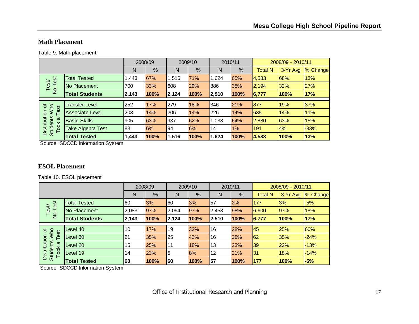#### **Math Placement**

Table 9. Math placement

|                                                |                        | 2008/09 |      | 2009/10 |      |       | 2010/11 | 2008/09 - 2010/11 |          |          |
|------------------------------------------------|------------------------|---------|------|---------|------|-------|---------|-------------------|----------|----------|
|                                                |                        | N       | %    | N       | %    | N     | %       | <b>Total N</b>    | 3-Yr Avg | % Change |
| est                                            | <b>Total Tested</b>    | ,443    | 67%  | 1,516   | 71%  | 1,624 | 65%     | 4,583             | 68%      | 13%      |
| Test/<br>$\overline{P}$                        | No Placement           | 700     | 33%  | 608     | 29%  | 886   | 35%     | 2,194             | 32%      | 27%      |
|                                                | <b>Total Students</b>  | 2,143   | 100% | 2,124   | 100% | 2,510 | 100%    | 6,777             | 100%     | 17%      |
|                                                |                        |         |      |         |      |       |         |                   |          |          |
| <b>MMO</b><br>৳<br>est                         | <b>Transfer Level</b>  | 252     | 17%  | 279     | 18%  | 346   | 21%     | 877               | 19%      | 37%      |
|                                                | <b>Associate Level</b> | 203     | 14%  | 206     | 14%  | 226   | 14%     | 635               | 14%      | 11%      |
| π                                              | <b>Basic Skills</b>    | 905     | 63%  | 937     | 62%  | 1,038 | 64%     | 2,880             | 63%      | 15%      |
| Distribution<br><b>Students</b><br><b>Took</b> | Take Algebra Test      | 83      | 6%   | 94      | 6%   | 14    | $1\%$   | 191               | 4%       | $-83%$   |
|                                                | <b>Total Tested</b>    | 1,443   | 100% | 1,516   | 100% | 1,624 | 100%    | 4,583             | 100%     | 13%      |

Source: SDCCD Information System

#### **ESOL Placement**

Table 10. ESOL placement

|                                                                  |                       | 2008/09 |            | 2009/10 |      | 2010/11   |      | 2008/09 - 2010/11 |          |          |
|------------------------------------------------------------------|-----------------------|---------|------------|---------|------|-----------|------|-------------------|----------|----------|
|                                                                  |                       | N       | %          | N       | %    | N         | %    | <b>Total N</b>    | 3-Yr Avg | % Change |
| No-Test<br>Test/                                                 | <b>Total Tested</b>   | 60      | 3%         | 60      | 3%   | 57        | 2%   | <b>177</b>        | 3%       | $-5%$    |
|                                                                  | No Placement          | 2,083   | 97%        | 2,064   | 97%  | 2,453     | 98%  | 6,600             | 97%      | 18%      |
|                                                                  | <b>Total Students</b> | 2,143   | 100%       | 2,124   | 100% | 2,510     | 100% | 6,777             | 100%     | 17%      |
|                                                                  |                       |         |            |         |      |           |      |                   |          |          |
| ৳<br>Who<br>Test<br>Distribution<br><b>Students</b><br>ω<br>Took | Level 40              | 10      | 17%        | 19      | 32%  | 16        | 28%  | 145               | 25%      | 60%      |
|                                                                  | Level 30              | 21      | 35%        | 25      | 42%  | 16        | 28%  | 62                | 35%      | $-24%$   |
|                                                                  | Level 20              | 15      | <b>25%</b> | 111     | 18%  | <b>13</b> | 23%  | 39                | 22%      | $-13%$   |
|                                                                  | Level 19              | 14      | 23%        | 5       | 8%   | 12        | 21%  | 131               | 18%      | $-14%$   |
|                                                                  | <b>Total Tested</b>   | 60      | 100%       | 160     | 100% | 57        | 100% | 177               | 100%     | $-5%$    |

Source: SDCCD Information System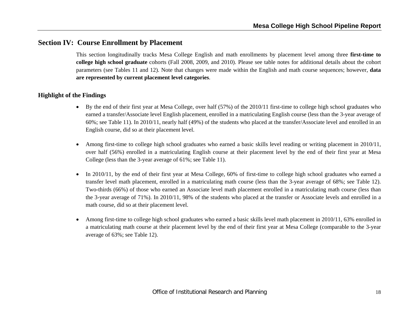# **Section IV: Course Enrollment by Placement**

This section longitudinally tracks Mesa College English and math enrollments by placement level among three **first-time to college high school graduate** cohorts (Fall 2008, 2009, and 2010). Please see table notes for additional details about the cohort parameters (see Tables 11 and 12). Note that changes were made within the English and math course sequences; however, **data are represented by current placement level categories**.

#### **Highlight of the Findings**

- By the end of their first year at Mesa College, over half (57%) of the 2010/11 first-time to college high school graduates who earned a transfer/Associate level English placement, enrolled in a matriculating English course (less than the 3-year average of 60%; see Table 11). In 2010/11, nearly half (49%) of the students who placed at the transfer/Associate level and enrolled in an English course, did so at their placement level.
- 0 Among first-time to college high school graduates who earned a basic skills level reading or writing placement in 2010/11, over half (56%) enrolled in a matriculating English course at their placement level by the end of their first year at Mesa College (less than the 3-year average of 61%; see Table 11).
- $\bullet$  In 2010/11, by the end of their first year at Mesa College, 60% of first-time to college high school graduates who earned a transfer level math placement, enrolled in a matriculating math course (less than the 3-year average of 68%; see Table 12). Two-thirds (66%) of those who earned an Associate level math placement enrolled in a matriculating math course (less than the 3-year average of 71%). In 2010/11, 98% of the students who placed at the transfer or Associate levels and enrolled in a math course, did so at their placement level.
- 0 Among first-time to college high school graduates who earned a basic skills level math placement in 2010/11, 63% enrolled in a matriculating math course at their placement level by the end of their first year at Mesa College (comparable to the 3-year average of 63%; see Table 12).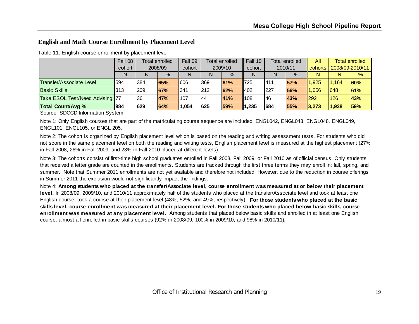#### **English and Math Course Enrollment by Placement Level**

|                                 | Fall 08 | Total enrolled |             | Fall 09         | Total enrolled |               | Fall 10 | <b>Total enrolled</b> |      | All         | <b>Total enrolled</b> |               |
|---------------------------------|---------|----------------|-------------|-----------------|----------------|---------------|---------|-----------------------|------|-------------|-----------------------|---------------|
|                                 | cohort  | 2008/09        |             | cohort          | 2009/10        |               | cohort  | 2010/11               |      | l cohorts   | 2008/09-2010/11       |               |
|                                 | N       | N              | $\%$        | N               | N              | $\frac{9}{6}$ | N       | N                     | $\%$ | N           | N                     | $\frac{9}{6}$ |
| <b>Transfer/Associate Level</b> | 1594    | 384            | <b>165%</b> | 1606            | 369            | 61%           | 1725    | 1411                  | 57%  | 1.925       | 1.164                 | $ 60\% $      |
| <b>Basic Skills</b>             | 313     | 209            | <b>67%</b>  | $\parallel$ 341 | 212            | 62%           | 402     | 1227                  | 56%  | 1,056       | 1648                  | 161%          |
| Take ESOL Test/Need Advising 77 |         | 136            | <b>47%</b>  | $\parallel$ 107 | 144            | 41%           | 108     | 146                   | 43%  | 1292        | 126                   | <b>43%</b>    |
| <b>Total Count/Avg %</b>        | 984     | 629            | 64%         | 1,054           | 625            | 59%           | 1,235   | 684                   | 55%  | $\ 3,273\ $ | 1,938                 | 59%           |

Table 11. English course enrollment by placement level

Source: SDCCD Information System

Note 1: Only English courses that are part of the matriculating course sequence are included: ENGL042, ENGL043, ENGL048, ENGL049, ENGL101, ENGL105, or ENGL 205.

Note 2: The cohort is organized by English placement level which is based on the reading and writing assessment tests. For students who did not score in the same placement level on both the reading and writing tests, English placement level is measured at the highest placement (27% in Fall 2008, 26% in Fall 2009, and 23% in Fall 2010 placed at different levels).

Note 3: The cohorts consist of first-time high school graduates enrolled in Fall 2008, Fall 2009, or Fall 2010 as of official census. Only students that received a letter grade are counted in the enrollments. Students are tracked through the first three terms they may enroll in: fall, spring, and summer. Note that Summer 2011 enrollments are not yet available and therefore not included. However, due to the reduction in course offerings in Summer 2011 the exclusion would not significantly impact the findings.

Note 4: **Among students who placed at the transfer/Associate level, course enrollment was measured at or below their placement level.** In 2008/09, 2009/10, and 2010/11 approximately half of the students who placed at the transfer/Associate level and took at least one English course, took a course at their placement level (48%, 52%, and 49%, respectively). **For those students who placed at the basic skills level, course enrollment was measured at their placement level. For those students who placed below basic skills, course enrollment was measured at any placement level.** Among students that placed below basic skills and enrolled in at least one English course, almost all enrolled in basic skills courses (92% in 2008/09, 100% in 2009/10, and 98% in 2010/11).